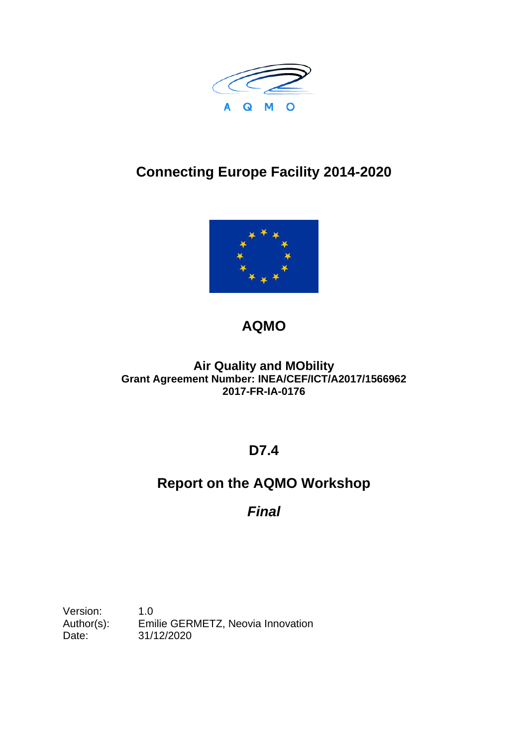

# **Connecting Europe Facility 2014-2020**



# **AQMO**

#### **Air Quality and MObility Grant Agreement Number: INEA/CEF/ICT/A2017/1566962 2017-FR-IA-0176**

### **D7.4**

## **Report on the AQMO Workshop**

### *Final*

Version: 1.0 Author(s): Emilie GERMETZ, Neovia Innovation Date: 31/12/2020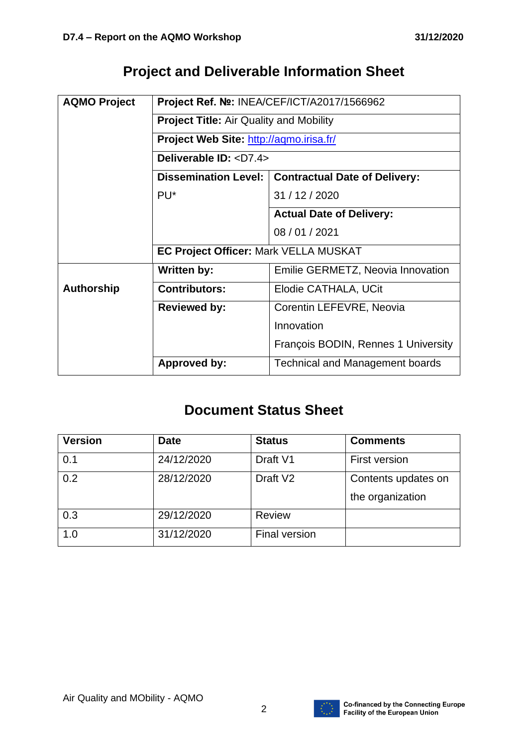## **Project and Deliverable Information Sheet**

| <b>AQMO Project</b> | Project Ref. Nº: INEA/CEF/ICT/A2017/1566962    |                                        |  |  |  |
|---------------------|------------------------------------------------|----------------------------------------|--|--|--|
|                     | <b>Project Title: Air Quality and Mobility</b> |                                        |  |  |  |
|                     | Project Web Site: http://aqmo.irisa.fr/        |                                        |  |  |  |
|                     | Deliverable ID: <d7.4></d7.4>                  |                                        |  |  |  |
|                     | <b>Dissemination Level:</b>                    | <b>Contractual Date of Delivery:</b>   |  |  |  |
|                     | PU <sup>*</sup>                                | 31 / 12 / 2020                         |  |  |  |
|                     |                                                | <b>Actual Date of Delivery:</b>        |  |  |  |
|                     |                                                | 08 / 01 / 2021                         |  |  |  |
|                     | EC Project Officer: Mark VELLA MUSKAT          |                                        |  |  |  |
|                     | Written by:                                    | Emilie GERMETZ, Neovia Innovation      |  |  |  |
| <b>Authorship</b>   | <b>Contributors:</b>                           | Elodie CATHALA, UCit                   |  |  |  |
|                     | <b>Reviewed by:</b>                            | Corentin LEFEVRE, Neovia               |  |  |  |
|                     |                                                | Innovation                             |  |  |  |
|                     |                                                | François BODIN, Rennes 1 University    |  |  |  |
|                     | <b>Approved by:</b>                            | <b>Technical and Management boards</b> |  |  |  |

### **Document Status Sheet**

| <b>Version</b> | <b>Date</b> | <b>Status</b>        | <b>Comments</b>     |
|----------------|-------------|----------------------|---------------------|
| 0.1            | 24/12/2020  | Draft V1             | First version       |
| 0.2            | 28/12/2020  | Draft V <sub>2</sub> | Contents updates on |
|                |             |                      | the organization    |
| 0.3            | 29/12/2020  | <b>Review</b>        |                     |
| 1.0            | 31/12/2020  | <b>Final version</b> |                     |

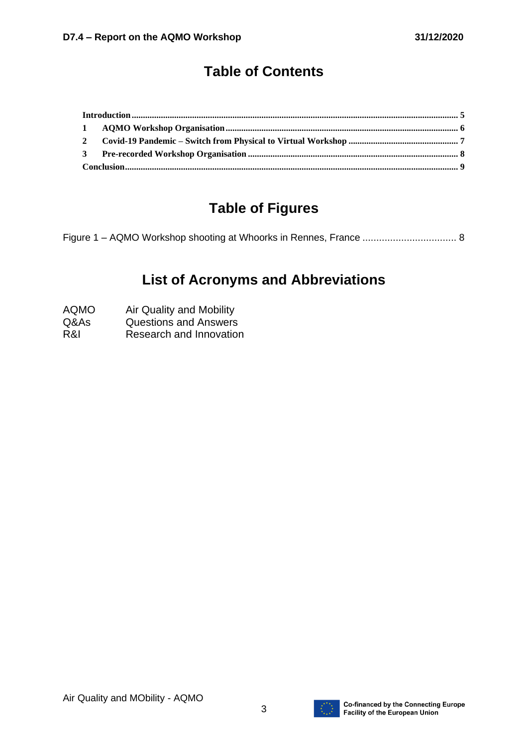## **Table of Contents**

### **Table of Figures**

## **List of Acronyms and Abbreviations**

- AQMO Air Quality and Mobility
- Q&As Questions and Answers
- R&I Research and Innovation

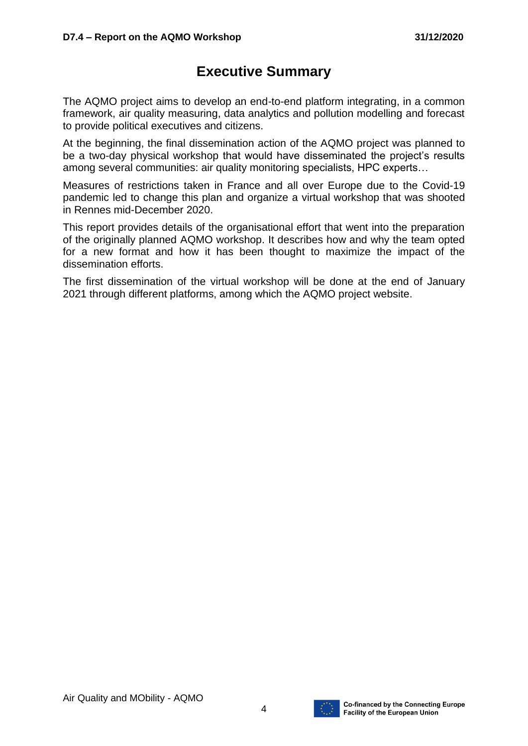#### **Executive Summary**

The AQMO project aims to develop an end-to-end platform integrating, in a common framework, air quality measuring, data analytics and pollution modelling and forecast to provide political executives and citizens.

At the beginning, the final dissemination action of the AQMO project was planned to be a two-day physical workshop that would have disseminated the project's results among several communities: air quality monitoring specialists, HPC experts…

Measures of restrictions taken in France and all over Europe due to the Covid-19 pandemic led to change this plan and organize a virtual workshop that was shooted in Rennes mid-December 2020.

This report provides details of the organisational effort that went into the preparation of the originally planned AQMO workshop. It describes how and why the team opted for a new format and how it has been thought to maximize the impact of the dissemination efforts.

The first dissemination of the virtual workshop will be done at the end of January 2021 through different platforms, among which the AQMO project website.

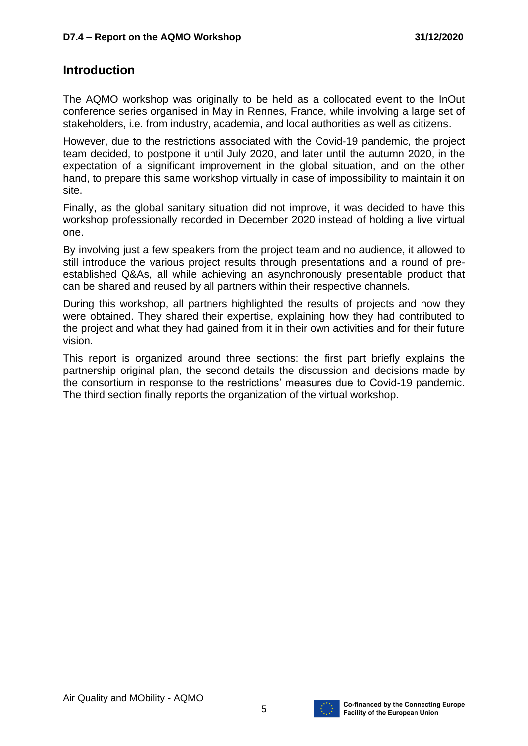#### <span id="page-4-0"></span>**Introduction**

The AQMO workshop was originally to be held as a collocated event to the InOut conference series organised in May in Rennes, France, while involving a large set of stakeholders, i.e. from industry, academia, and local authorities as well as citizens.

However, due to the restrictions associated with the Covid-19 pandemic, the project team decided, to postpone it until July 2020, and later until the autumn 2020, in the expectation of a significant improvement in the global situation, and on the other hand, to prepare this same workshop virtually in case of impossibility to maintain it on site.

Finally, as the global sanitary situation did not improve, it was decided to have this workshop professionally recorded in December 2020 instead of holding a live virtual one.

By involving just a few speakers from the project team and no audience, it allowed to still introduce the various project results through presentations and a round of preestablished Q&As, all while achieving an asynchronously presentable product that can be shared and reused by all partners within their respective channels.

During this workshop, all partners highlighted the results of projects and how they were obtained. They shared their expertise, explaining how they had contributed to the project and what they had gained from it in their own activities and for their future vision.

This report is organized around three sections: the first part briefly explains the partnership original plan, the second details the discussion and decisions made by the consortium in response to the restrictions' measures due to Covid-19 pandemic. The third section finally reports the organization of the virtual workshop.

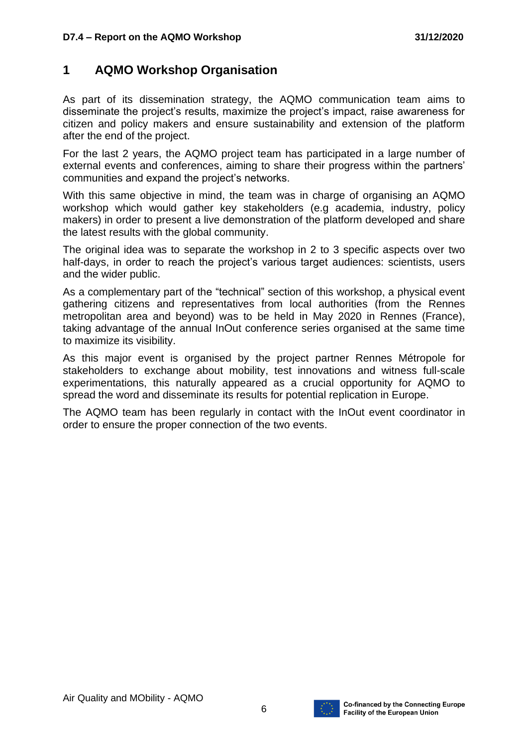#### <span id="page-5-0"></span>**1 AQMO Workshop Organisation**

As part of its dissemination strategy, the AQMO communication team aims to disseminate the project's results, maximize the project's impact, raise awareness for citizen and policy makers and ensure sustainability and extension of the platform after the end of the project.

For the last 2 years, the AQMO project team has participated in a large number of external events and conferences, aiming to share their progress within the partners' communities and expand the project's networks.

With this same objective in mind, the team was in charge of organising an AQMO workshop which would gather key stakeholders (e.g academia, industry, policy makers) in order to present a live demonstration of the platform developed and share the latest results with the global community.

The original idea was to separate the workshop in 2 to 3 specific aspects over two half-days, in order to reach the project's various target audiences: scientists, users and the wider public.

As a complementary part of the "technical" section of this workshop, a physical event gathering citizens and representatives from local authorities (from the Rennes metropolitan area and beyond) was to be held in May 2020 in Rennes (France), taking advantage of the annual InOut conference series organised at the same time to maximize its visibility.

As this major event is organised by the project partner Rennes Métropole for stakeholders to exchange about mobility, test innovations and witness full-scale experimentations, this naturally appeared as a crucial opportunity for AQMO to spread the word and disseminate its results for potential replication in Europe.

The AQMO team has been regularly in contact with the InOut event coordinator in order to ensure the proper connection of the two events.

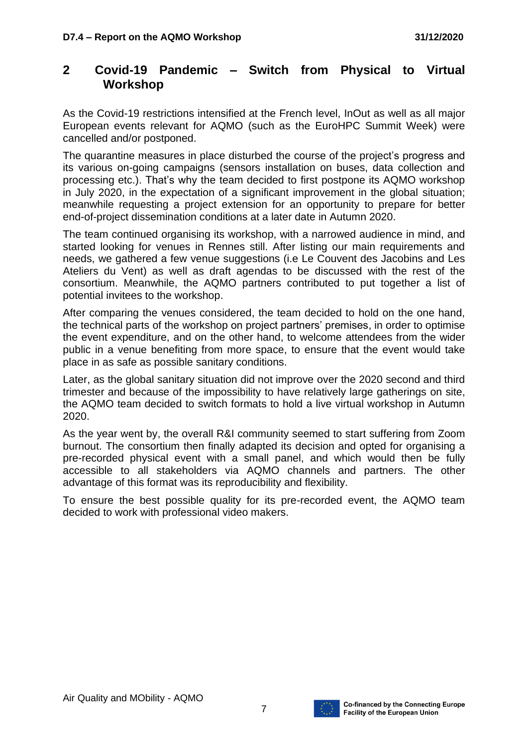#### <span id="page-6-0"></span>**2 Covid-19 Pandemic – Switch from Physical to Virtual Workshop**

As the Covid-19 restrictions intensified at the French level, InOut as well as all major European events relevant for AQMO (such as the EuroHPC Summit Week) were cancelled and/or postponed.

The quarantine measures in place disturbed the course of the project's progress and its various on-going campaigns (sensors installation on buses, data collection and processing etc.). That's why the team decided to first postpone its AQMO workshop in July 2020, in the expectation of a significant improvement in the global situation; meanwhile requesting a project extension for an opportunity to prepare for better end-of-project dissemination conditions at a later date in Autumn 2020.

The team continued organising its workshop, with a narrowed audience in mind, and started looking for venues in Rennes still. After listing our main requirements and needs, we gathered a few venue suggestions (i.e Le Couvent des Jacobins and Les Ateliers du Vent) as well as draft agendas to be discussed with the rest of the consortium. Meanwhile, the AQMO partners contributed to put together a list of potential invitees to the workshop.

After comparing the venues considered, the team decided to hold on the one hand, the technical parts of the workshop on project partners' premises, in order to optimise the event expenditure, and on the other hand, to welcome attendees from the wider public in a venue benefiting from more space, to ensure that the event would take place in as safe as possible sanitary conditions.

Later, as the global sanitary situation did not improve over the 2020 second and third trimester and because of the impossibility to have relatively large gatherings on site, the AQMO team decided to switch formats to hold a live virtual workshop in Autumn 2020.

As the year went by, the overall R&I community seemed to start suffering from Zoom burnout. The consortium then finally adapted its decision and opted for organising a pre-recorded physical event with a small panel, and which would then be fully accessible to all stakeholders via AQMO channels and partners. The other advantage of this format was its reproducibility and flexibility.

To ensure the best possible quality for its pre-recorded event, the AQMO team decided to work with professional video makers.

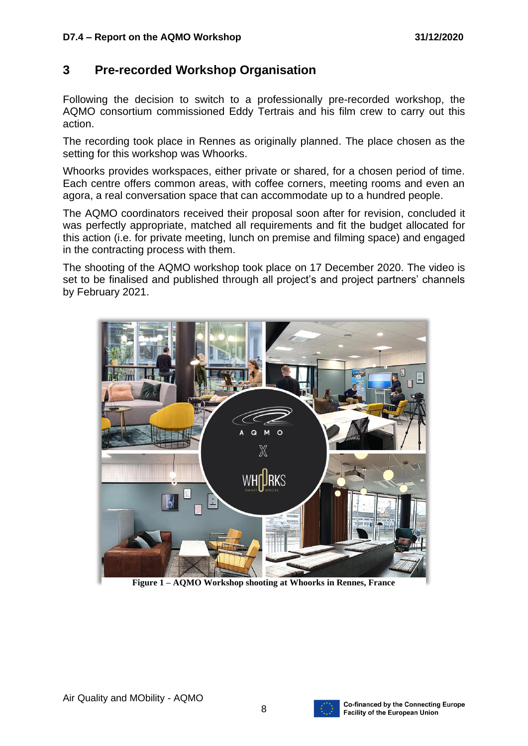#### <span id="page-7-0"></span>**3 Pre-recorded Workshop Organisation**

Following the decision to switch to a professionally pre-recorded workshop, the AQMO consortium commissioned Eddy Tertrais and his film crew to carry out this action.

The recording took place in Rennes as originally planned. The place chosen as the setting for this workshop was Whoorks.

Whoorks provides workspaces, either private or shared, for a chosen period of time. Each centre offers common areas, with coffee corners, meeting rooms and even an agora, a real conversation space that can accommodate up to a hundred people.

The AQMO coordinators received their proposal soon after for revision, concluded it was perfectly appropriate, matched all requirements and fit the budget allocated for this action (i.e. for private meeting, lunch on premise and filming space) and engaged in the contracting process with them.

The shooting of the AQMO workshop took place on 17 December 2020. The video is set to be finalised and published through all project's and project partners' channels by February 2021.



**Figure 1 – AQMO Workshop shooting at Whoorks in Rennes, France**